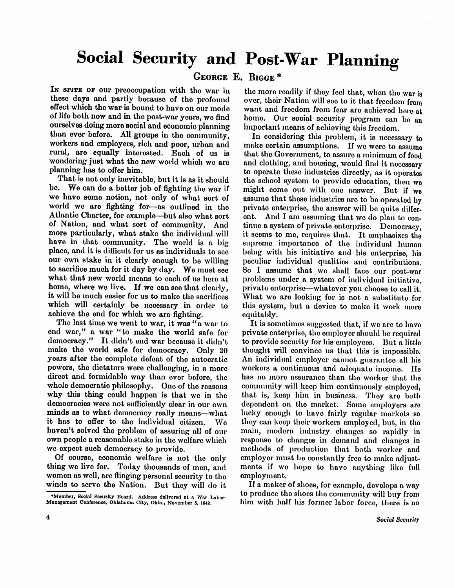# **Social Security and Post-War Planning**

**GEORG E E . BIGGE \*** 

In SPITE OF our preoccupation with the war in these days and partly because of the profound effect which the war is bound to have on our mode of life both now and in the post-war years, we find ourselves doing more social and economic planning than ever before. All groups in the community, workers and employers, rich and poor, urban and rural, are equally interested. Each of us is wondering just what the new world which we are planning has to offer him.

That is not only inevitable, but it is as it should be. We can do a better job of fighting the war if we have some notion, not only of what sort of world we are fighting for—as outlined in the Atlantic Charter, for example—but also what sort of Nation, and what sort of community. And more particularly, what stake the individual will have in that community. The world is a big place, and it is difficult for us as individuals to see our own stake in it clearly enough to be willing to sacrifice much for it day by day. We must see what that new world means to each of us here at home, where we live. If we can see that clearly, it will be much easier for us to make the sacrifices which will certainly be necessary in order to achieve the end for which we are fighting.

The last time we went to war, it was "a war to end war," a war "to make the world safe for democracy." It didn't end war because it didn't make the world safe for democracy. Only 20 years after the complete defeat of the autocratic powers, the dictators were challenging, in a more direct and formidable way than ever before, the whole democratic philosophy. One of the reasons why this thing could happen is that we in the democracies were not sufficiently clear in our own minds as to what democracy really means—what it has to offer to the individual citizen. We haven't solved the problem of assuring all of our own people a reasonable stake in the welfare which we expect such democracy to provide.

Of course, economic welfare is not the only thing we live for. Today thousands of men, and women as well, are flinging personal security to the winds to serve the Nation. But they will do it

the more readily if they feel that, when the war is over, their Nation will see to it that freedom from want and freedom from fear are achieved here at home. Our social security program can be an important means of achieving this freedom.

In considering this problem, it is necessary to make certain assumptions. If we were to assume that the Government, to assure a minimum of food and clothing, and housing, would find it necessary to operate those industries directly, as it operates the school system to provide education, then we might come out with one answer. But if we assume that these industries are to be operated by private enterprise, the answer will be quite different. And I am assuming that we do plan to continue a system of private enterprise. Democracy, it seems to me, requires that. It emphasizes the supreme importance of the individual human being with his initiative and his enterprise, his peculiar individual qualities and contributions. So I assume that we shall face our post-war problems under a system of individual initiative, private enterprise—whatever you choose to call it. What we are looking for is not a substitute for this system, but a device to make it work more equitably.

It is sometimes suggested that, if we are to have private enterprise, the employer should be required to provide security for his employees. But a little thought will convince us that this is impossible An individual employer cannot guarantee all his workers a continuous and adequate income. He has no more assurance than the worker that the community will keep him continuously employed, that is, keep him in business. They are both dependent on the market. Some employers are lucky enough to have fairly regular markets so they can keep their workers employed, but, in the main, modern industry changes so rapidly in response to changes in demand and changes in methods of production that both worker and employer must be constantly free to make adjustments if we hope to have anything like full employment.

If a maker of shoes, for example, develops a way to produce the shoes the community will buy from him with half his former labor force, there is no

<sup>\*</sup> Member, Social Security Board. Address delivered at a War Labor-Management Conference, Oklahoma City, Okla., November 6, 1942.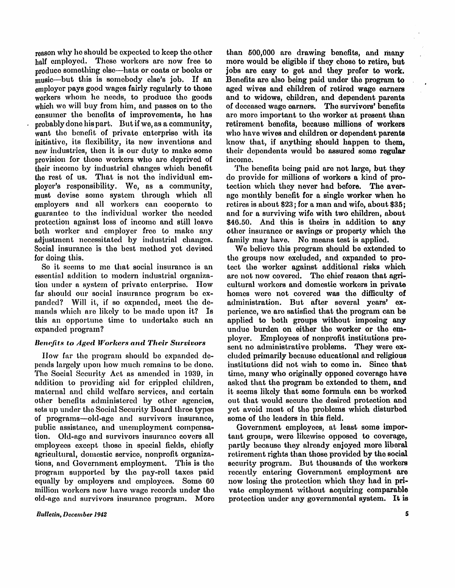reason why he should be expected to keep the other half employed. These workers are now free to produce something else—hats or coats or books or music—but this is somebody else's job. If an employer pays good wages fairly regularly to those workers whom he needs, to produce the goods which we will buy from him, and passes on to the consumer the benefits of improvements, he has probably done his part. But if we, as a community, want the benefit of private enterprise with its initiative, its flexibility, its new inventions and new industries, then it is our duty to make some provision for those workers who are deprived of their income by industrial changes which benefit the rest of us. That is not the individual employer's responsibility. We, as a community, must devise some system through which all employers and all workers can cooperate to guarantee to the individual worker the needed protection against loss of income and still leave both worker and employer free to make any adjustment necessitated by industrial changes. Social insurance is the best method yet devised for doing this.

So it seems to me that social insurance is an essential addition to modern industrial organization under a system of private enterprise. How far should our social insurance program be expanded? Will it, if so expanded, meet the demands which are likely to be made upon it? Is this an opportune time to undertake such an expanded program?

### *Benefits to Aged Workers and Their Survivors*

How far the program should be expanded depends largely upon how much remains to be done. The Social Security Act as amended in 1939, in addition to providing aid for crippled children, maternal and child welfare services, and certain other benefits administered by other agencies, sets up under the Social Security Board three types of programs—old-age and survivors insurance, public assistance, and unemployment compensation. Old-age and survivors insurance covers all employees except those in special fields, chiefly agricultural, domestic service, nonprofit organizations, and Government employment. This is the program supported by the pay-roll taxes paid equally by employers and employees. Some 60 million workers now have wage records under the old-age and survivors insurance program. More

than 500,000 are drawing benefits, and many more would be eligible if they chose to retire, but jobs are easy to get and they prefer to work. Benefits are also being paid under the program to aged wives and children of retired wage earners and to widows, children, and dependent parents of deceased wage earners. The survivors' benefits are more important to the worker at present than retirement benefits, because millions of workers who have wives and children or dependent parents know that, if anything should happen to them, their dependents would be assured some regular income.

The benefits being paid are not large, but they do provide for millions of workers a kind of protection which they never had before. The average monthly benefit for a single worker when he retires is about \$23; for a man and wife, about \$35; and for a surviving wife with two children, about \$46.50. And this is theirs in addition to any other insurance or savings or property which the family may have. No means test is applied.

We believe this program should be extended to the groups now excluded, and expanded to protect the worker against additional risks which are not now covered. The chief reason that agricultural workers and domestic workers in private homes were not covered was the difficulty of administration. But after several years' experience, we are satisfied that the program can be applied to both groups without imposing any undue burden on either the worker or the employer. Employees of nonprofit institutions present no administrative problems. They were excluded primarily because educational and religious institutions did not wish to come in. Since that time, many who originally opposed coverage have asked that the program be extended to them, and it seems likely that some formula can be worked out that would secure the desired protection and yet avoid most of the problems which disturbed some of the leaders in this field.

Government employees, at least some important groups, were likewise opposed to coverage, partly because they already enjoyed more liberal retirement rights than those provided by the social security program. But thousands of the workers recently entering Government employment are now losing the protection which they had in private employment without acquiring comparable protection under any governmental system. It is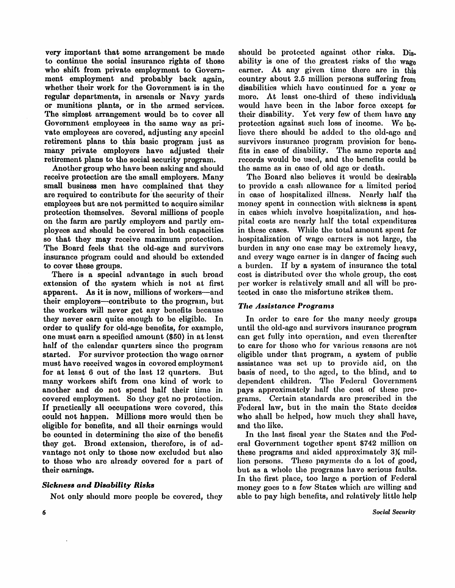very important that some arrangement be made to continue the social insurance rights of those who shift from private employment to Government employment and probably back again, whether their work for the Government is in the regular departments, in arsenals or Navy yards or munitions plants, or in the armed services. The simplest arrangement would be to cover all Government employees in the same way as private employees are covered, adjusting any special retirement plans to this basic program just as many private employers have adjusted their retirement plans to the social security program.

Another group who have been asking and should receive protection are the small employers. Many small business men have complained that they are required to contribute for the security of their employees but are not permitted to acquire similar protection themselves. Several millions of people on the farm are partly employers and partly employees and should be covered in both capacities so that they may receive maximum protection. The Board feels that the old-age and survivors insurance program could and should be extended to cover these groups.

There is a special advantage in such broad extension of the system which is not at first apparent. As it is now, millions of workers—and their employers—contribute to the program, but the workers will never get any benefits because they never earn quite enough to be eligible. In order to qualify for old-age benefits, for example, one must earn a specified amount (\$50) in at least half of the calendar quarters since the program started. For survivor protection the wage earner must have received wages in covered employment for at least 6 out of the last 12 quarters. But many workers shift from one kind of work to another and do not spend half their time in covered employment. So they get no protection. If practically all occupations were covered, this could not happen. Millions more would then be eligible for benefits, and all their earnings would be counted in determining the size of the benefit they get. Broad extension, therefore, is of advantage not only to those now excluded but also to those who are already covered for a part of their earnings.

### *Sickness and Disability Risks*

Not only should more people be covered, they

should be protected against other risks. Disability is one of the greatest risks of the wage earner. At any given time there are in this country about 2.5 million persons suffering from disabilities which have continued for a year or more. At least one-third of these individuals would have been in the labor force except for their disability. Yet very few of them have any protection against such loss of income. We believe there should be added to the old-age and survivors insurance program provision for benefits in case of disability. The same reports and records would be used, and the benefits could be the same as in case of old age or death.

The Board also believes it would be desirable to provide a cash allowance for a limited period in case of hospitalized illness. Nearly half the money spent in connection with sickness is spent in cases which involve hospitalization, and hospital costs are nearly half the total expenditures in these cases. While the total amount spent for hospitalization of wage earners is not large, the burden in any one case may be extremely heavy, and every wage earner is in danger of facing such a burden. If by a system of insurance the total cost is distributed over the whole group, the cost per worker is relatively small and all will be protected in case the misfortune strikes them.

### *The Assistance Programs*

In order to care for the many needy groups until the old-age and survivors insurance program can get fully into operation, and even thereafter to care for those who for various reasons are not eligible under that program, a system of public assistance was set up to provide aid, on the basis of need, to the aged, to the blind, and to dependent children. The Federal Government pays approximately half the cost of these programs. Certain standards are prescribed in the Federal law, but in the main the State decides who shall be helped, how much they shall have, and the like.

In the last fiscal year the States and the Federal Government together spent \$742 million on these programs and aided approximately 3¼ million persons. These payments do a lot of good, but as a whole the programs have serious faults. In the first place, too large a portion of Federal money goes to a few States which are willing and able to pay high benefits, and relatively little help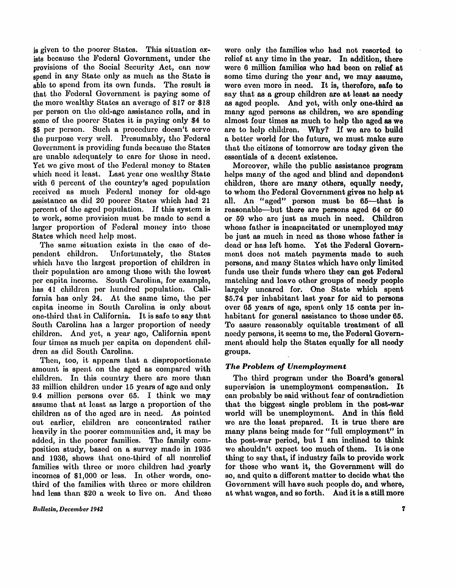is given to the poorer States. This situation ex**ists because the Federal Government, under the**  provisions of the Social Security Act, can now **spend in any State only as much as the State is able to spend from its own funds. The result is that the Federal Government is paying some of the more wealthy States an average of \$17 or \$18 per person on the old-age assistance rolls, and in some of the poorer States it is paying only \$4 to \$5 per person. Such a procedure doesn't serve the purpose very well. Presumably, the Federal Government is providing funds because the States are unable adequately to care for those in need. Yet** we **give most of the Federal money to States**  which need it least. Last year one wealthy State **with 6 percent of the country's aged population received as much Federal money for old-age assistance as did 20 poorer States which had 21**  percent of the aged population. If this system is **to work, some provision must** be **made to send a larger proportion of Federal money into those States which need help most.** 

**The same situation exists in the case of dependent children. Unfortunately, the States which have the largest proportion of children in their population are among those with the lowest per capita income. South Carolina, for example, has 41 children per hundred population. Cali**fornia has only 24. At the same time, the per **capita income in South Carolina is only about one-third that in California.** It is safe to say that **South Carolina has a larger proportion of needy children. And yet, a year** age**, California spent four times as much per capita on dependent children as did South Carolina.** 

**Then, too, it appears that a disproportionate amount is spent on the aged as compared with**  children. In this country there are more than **33 million children under 15 years of** age **and only 9.4 million persons over 65. I think** we **may assume that at least as large a proportion of the children as of the aged are in need. As pointed out earlier, children are concentrated rather heavily in the poorer communities and, it may** be **added, in the poorer families. The family composition study, based on a survey made in 1935 and 1936, shows that one-third of all nonrelief families with three or more children had yearly incomes of \$1,000 or less. In other words, onethird of the families with three or more children had less than \$20 a week to live on. And these** 

**Bulletin, December 1942** 

**were only the families who had not resorted to**  relief at any time in the year. In addition, there **were 6 million families who had been on relief at some time during the year and, we may assume,**  were even more in need. It is, therefore, safe to **say that as a group children are at least as needy as aged people. And yet, with only one-third as many aged persons as children, we are spending almost four times as much to help the aged as we**  are to help children. Why? If we are to build **a better world for the future,** we **must make sure that the citizens of tomorrow are today given the essentials of a decent existence.** 

**Moreover, while the public assistance program helps many of the aged and blind and dependent children, there are many others, equally needy, to whom the Federal Government gives no help at**  all. An "aged" person must be  $65$ —that is **reasonable—but there are persons aged 64 or 60 or 59 who are just as much in need. Children whose father is incapacitated or unemployed may**  be **just as much in need as those whose father is dead or has left home. Yet the Federal Government does not match payments made to such persons, and many States which have only limited funds use their funds where they can get Federal matching and leave other groups of needy people largely uncared for. One State which spent \$5.74 per inhabitant last year for aid to persons over 65 years of** age**, spent only 15 cents per inhabitant for general assistance to those under 65.**  To assure reasonably equitable treatment of all needy persons, it seems to me, the Federal Govern**ment should help the States equally for all needy groups.** 

## *The Problem of Unemployment*

The third program under the Board's general supervision is unemployment compensation. It **can probably** be **said without fear of contradiction that the biggest single problem in the post-war world will** be **unemployment. And in this field**  we are the least prepared. It is true there are **many plans being made for "full employment" in the post-war period, but I am inclined to think**  we shouldn't expect too much of them. It is one **thing to say that, if industry fails to provide work for those who want it, the Government will do so, and quite a different matter to decide what the Government will have such people do, and where, at what wages, and so forth. And i t is a still more**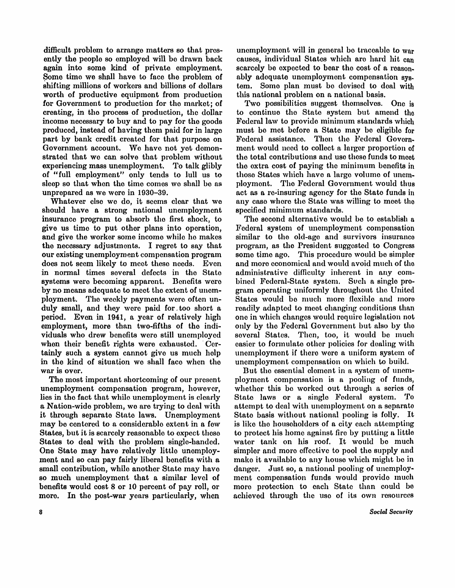difficult problem to arrange matters so that presently the people so employed will be drawn back again into some kind of private employment. Some time we shall have to face the problem of shifting millions of workers and billions of dollars worth of productive equipment from production for Government to production for the market; of creating, in the process of production, the dollar income necessary to buy and to pay for the goods produced, instead of having them paid for in large part by bank credit created for that purpose on Government account. We have not yet demonstrated that we can solve that problem without experiencing mass unemployment. To talk glibly of "full employment" only tends to lull us to sleep so that when the time comes we shall be as unprepared as we were in **1930-39.** 

Whatever else we do, it seems clear that we should have a strong national unemployment insurance program to absorb the first shock, to give us time to put other plans into operation, and give the worker some income while he makes the necessary adjustments. I regret to say that our existing unemployment compensation program does not seem likely to meet these needs. Even in normal times several defects in the State systems were becoming apparent. Benefits were by no means adequate to meet the extent of unemployment. The weekly payments were often unduly small, and they were paid for too short a period. Even in 1941, a year of relatively high employment, more than two-fifths of the individuals who drew benefits were still unemployed when their benefit rights were exhausted. Certainly such a system cannot give us much help in the kind of situation we shall face when the war is over.

The most important shortcoming of our present unemployment compensation program, however, lies in the fact that while unemployment is clearly a Nation-wide problem, we are trying to deal with it through separate State laws. Unemployment may be centered to a considerable extent in a few States, but it is scarcely reasonable to expect these States to deal with the problem single-handed. One State may have relatively little unemployment and so can pay fairly liberal benefits with a small contribution, while another State may have so much unemployment that a similar level of benefits would cost 8 or 10 percent of pay roll, or more. In the post-war years particularly, when

unemployment will in general be traceable to war causes, individual States which are hard hit can scarcely be expected to bear the cost of a reasonably adequate unemployment compensation system. Some plan must be devised to deal with this national problem on a national basis.

Two possibilities suggest themselves. One is to continue the State system but amend the Federal law to provide minimum standards which must be met before a State may be eligible for Federal assistance. Then the Federal Government would need to collect a larger proportion of the total contributions and use these funds to meet the extra cost of paying the minimum benefits in those States which have a large volume of unemployment. The Federal Government would thus act as a re-insuring agency for the State funds in any case where the State was willing to meet the specified minimum standards.

The second alternative would be to establish a Federal system of unemployment compensation similar to the old-age and survivors insurance program, as the President suggested to Congress some time ago. This procedure would be simpler and more economical and would avoid much of the administrative difficulty inherent in any combined Federal-State system. Such a single program operating uniformly throughout the United States would be much more flexible and more readily adapted to meet changing conditions than one in which changes would require legislation not only by the Federal Government but also by the several States. Then, too, it would be much easier to formulate other policies for dealing with unemployment if there were a uniform system of unemployment compensation on which to build.

But the essential element in a system of unemployment compensation is a pooling of funds, whether this be worked out through a series of State laws or a single Federal system. To attempt to deal with unemployment on a separate State basis without national pooling is folly. It is like the householders of a city each attempting to protect his home against fire by putting a little water tank on his roof. It would be much simpler and more effective to pool the supply and make it available to any house which might be in danger. Just so, a national pooling of unemployment compensation funds would provide much more protection to each State than could be achieved through the use of its own resources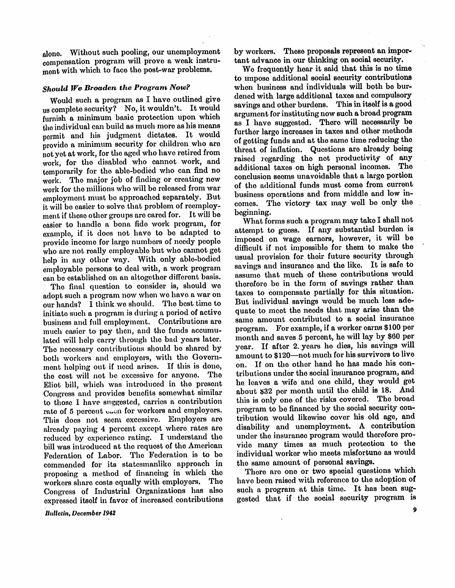**alone. Without such pooling, our unemployment compensation program will prove a weak instrument with which to face the post-war problems.** 

### *Should We Broaden the Program Now?*

**Would such a program as I have outlined give us complete security? No, i t wouldn't. I t would furnish a minimum basic protection upon which the individual can build as much more as his means**  permit and his judgment dictates. It would **provide a minimum security for children who are not yet at work, for the aged who have retired from work, for the disabled who cannot work, and temporarily for the able-bodied who can find no work. The major job of finding or creating new work for the millions who will** be **released from war**  employment must be approached separately. But **it will** be **easier to solve that problem of reemployment if those other groups are cared for. I t will be easier to handle a bona fide work program, for example, if it does not have to** be **adapted to provide income for large numbers of needy people who are not really employable but who cannot get help in any other way. With only able-bodied employable persons to deal with, a work program can** be **established on an altogether different basis.** 

**The final question to consider is, should** we **adopt such a program now when** we **have a war on our hands? I think** we **should. The best time to initiate such a program is during a period of active business and full employment. Contributions are much easier to pay then, and the funds accumulated will help carry through the bad years later. The necessary contributions should** be **shared by both workers and employers, with the Govern**ment helping out if need arises. If this is done, **the cost will not** be **excessive for anyone. The Eliot bill, which was introduced in the present Congress and provides benefits somewhat similar to those I have suggested, carries a contribution**  rate of 5 percent  $\sin$  for workers and employers. **This does not seem excessive. Employers are already paying 4 percent except where rates are reduced by experience rating. I understand the bill was introduced at the request of the American Federation of Labor. The Federation is to** be **commended for its statesmanlike approach in proposing a method of financing in which the workers share costs equally with employers. The Congress of Industrial Organizations has also expressed itself in favor of increased contributions** 

**Bulletin, December 1942** 

**by workers. These proposals represent an important advance in our thinking on social security.** 

**We frequently hear i t said that this is no time to impose additional social security contributions when business and individuals will both be burdened with large additional taxes and compulsory**  savings and other burdens. This in itself is a good **argument for instituting now such a broad program as I have suggested. There will necessarily be further large increases in taxes and other methods of getting funds and at the same time reducing the threat of inflation. Questions are already being raised regarding the net productivity of any additional taxes on high personal incomes. The conclusion seems unavoidable that a large portion of the additional funds must come from current business operations and from middle and low incomes. The victory tax may well be only the beginning.** 

**What forms such a program may take I shall not**  attempt to guess. If any substantial burden is imposed on wage earners, however, it will be **difficult if not impossible for them to make the usual provision for their future security through**  savings and insurance and the like. It is safe to **assume that much of these contributions would therefore be in the form of savings rather than taxes to compensate partially for this situation.**  But individual savings would be much less ade**quate to meet the needs that may arise than the same amount contributed to a social insurance**  program. For example, if a worker earns \$100 per **month and saves 5 percent, he will lay by \$60 per**  year. If after 2 years he dies, his savings will **amount to \$120—not much for his survivors to live**  on. If on the other hand he has made his con**tributions under the social insurance program, and he leaves a wife and one child, they would get about \$32 per month until the child is 18. And this is only one of the risks covered. The broad program to be financed by the social security contribution would likewise cover his old age, and disability and unemployment. A contribution**  under the insurance program would therefore provide many times as much protection to the individual worker who meets misfortune as would the same amount of personal savings.

**There are one or two special questions which have been raised with reference to the adoption of**  such a program at this time. It has been sug**gested that if the social security program is** 

 $\boldsymbol{9}$